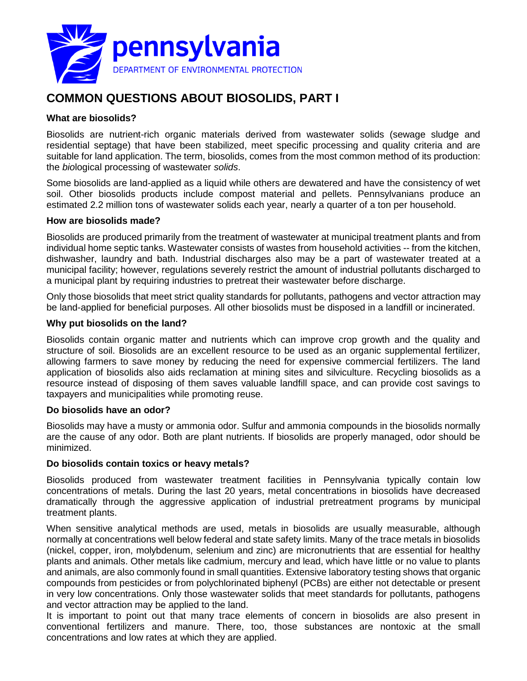

# **COMMON QUESTIONS ABOUT BIOSOLIDS, PART I**

# **What are biosolids?**

Biosolids are nutrient-rich organic materials derived from wastewater solids (sewage sludge and residential septage) that have been stabilized, meet specific processing and quality criteria and are suitable for land application. The term, biosolids, comes from the most common method of its production: the *bio*logical processing of wastewater *solids*.

Some biosolids are land-applied as a liquid while others are dewatered and have the consistency of wet soil. Other biosolids products include compost material and pellets. Pennsylvanians produce an estimated 2.2 million tons of wastewater solids each year, nearly a quarter of a ton per household.

## **How are biosolids made?**

Biosolids are produced primarily from the treatment of wastewater at municipal treatment plants and from individual home septic tanks. Wastewater consists of wastes from household activities -- from the kitchen, dishwasher, laundry and bath. Industrial discharges also may be a part of wastewater treated at a municipal facility; however, regulations severely restrict the amount of industrial pollutants discharged to a municipal plant by requiring industries to pretreat their wastewater before discharge.

Only those biosolids that meet strict quality standards for pollutants, pathogens and vector attraction may be land-applied for beneficial purposes. All other biosolids must be disposed in a landfill or incinerated.

## **Why put biosolids on the land?**

Biosolids contain organic matter and nutrients which can improve crop growth and the quality and structure of soil. Biosolids are an excellent resource to be used as an organic supplemental fertilizer, allowing farmers to save money by reducing the need for expensive commercial fertilizers. The land application of biosolids also aids reclamation at mining sites and silviculture. Recycling biosolids as a resource instead of disposing of them saves valuable landfill space, and can provide cost savings to taxpayers and municipalities while promoting reuse.

#### **Do biosolids have an odor?**

Biosolids may have a musty or ammonia odor. Sulfur and ammonia compounds in the biosolids normally are the cause of any odor. Both are plant nutrients. If biosolids are properly managed, odor should be minimized.

#### **Do biosolids contain toxics or heavy metals?**

Biosolids produced from wastewater treatment facilities in Pennsylvania typically contain low concentrations of metals. During the last 20 years, metal concentrations in biosolids have decreased dramatically through the aggressive application of industrial pretreatment programs by municipal treatment plants.

When sensitive analytical methods are used, metals in biosolids are usually measurable, although normally at concentrations well below federal and state safety limits. Many of the trace metals in biosolids (nickel, copper, iron, molybdenum, selenium and zinc) are micronutrients that are essential for healthy plants and animals. Other metals like cadmium, mercury and lead, which have little or no value to plants and animals, are also commonly found in small quantities. Extensive laboratory testing shows that organic compounds from pesticides or from polychlorinated biphenyl (PCBs) are either not detectable or present in very low concentrations. Only those wastewater solids that meet standards for pollutants, pathogens and vector attraction may be applied to the land.

It is important to point out that many trace elements of concern in biosolids are also present in conventional fertilizers and manure. There, too, those substances are nontoxic at the small concentrations and low rates at which they are applied.